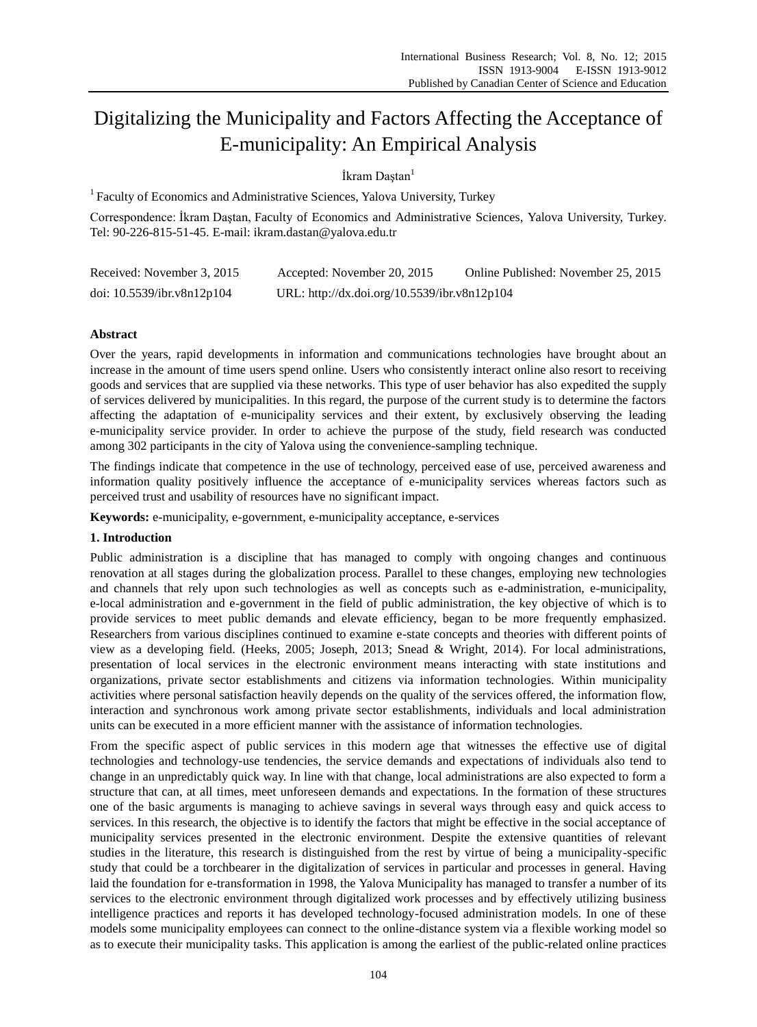# Digitalizing the Municipality and Factors Affecting the Acceptance of E-municipality: An Empirical Analysis

İkram Daştan<sup>1</sup>

<sup>1</sup> Faculty of Economics and Administrative Sciences, Yalova University, Turkey

Correspondence: İkram Daştan, Faculty of Economics and Administrative Sciences, Yalova University, Turkey. Tel: 90-226-815-51-45. E-mail: ikram.dastan@yalova.edu.tr

| Received: November 3, 2015    | Accepted: November 20, 2015                  | Online Published: November 25, 2015 |
|-------------------------------|----------------------------------------------|-------------------------------------|
| doi: $10.5539$ /ibr.v8n12p104 | URL: http://dx.doi.org/10.5539/ibr.v8n12p104 |                                     |

# **Abstract**

Over the years, rapid developments in information and communications technologies have brought about an increase in the amount of time users spend online. Users who consistently interact online also resort to receiving goods and services that are supplied via these networks. This type of user behavior has also expedited the supply of services delivered by municipalities. In this regard, the purpose of the current study is to determine the factors affecting the adaptation of e-municipality services and their extent, by exclusively observing the leading e-municipality service provider. In order to achieve the purpose of the study, field research was conducted among 302 participants in the city of Yalova using the convenience-sampling technique.

The findings indicate that competence in the use of technology, perceived ease of use, perceived awareness and information quality positively influence the acceptance of e-municipality services whereas factors such as perceived trust and usability of resources have no significant impact.

**Keywords:** e-municipality, e-government, e-municipality acceptance, e-services

# **1. Introduction**

Public administration is a discipline that has managed to comply with ongoing changes and continuous renovation at all stages during the globalization process. Parallel to these changes, employing new technologies and channels that rely upon such technologies as well as concepts such as e-administration, e-municipality, e-local administration and e-government in the field of public administration, the key objective of which is to provide services to meet public demands and elevate efficiency, began to be more frequently emphasized. Researchers from various disciplines continued to examine e-state concepts and theories with different points of view as a developing field. (Heeks, 2005; Joseph, 2013; Snead & Wright, 2014). For local administrations, presentation of local services in the electronic environment means interacting with state institutions and organizations, private sector establishments and citizens via information technologies. Within municipality activities where personal satisfaction heavily depends on the quality of the services offered, the information flow, interaction and synchronous work among private sector establishments, individuals and local administration units can be executed in a more efficient manner with the assistance of information technologies.

From the specific aspect of public services in this modern age that witnesses the effective use of digital technologies and technology-use tendencies, the service demands and expectations of individuals also tend to change in an unpredictably quick way. In line with that change, local administrations are also expected to form a structure that can, at all times, meet unforeseen demands and expectations. In the formation of these structures one of the basic arguments is managing to achieve savings in several ways through easy and quick access to services. In this research, the objective is to identify the factors that might be effective in the social acceptance of municipality services presented in the electronic environment. Despite the extensive quantities of relevant studies in the literature, this research is distinguished from the rest by virtue of being a municipality-specific study that could be a torchbearer in the digitalization of services in particular and processes in general. Having laid the foundation for e-transformation in 1998, the Yalova Municipality has managed to transfer a number of its services to the electronic environment through digitalized work processes and by effectively utilizing business intelligence practices and reports it has developed technology-focused administration models. In one of these models some municipality employees can connect to the online-distance system via a flexible working model so as to execute their municipality tasks. This application is among the earliest of the public-related online practices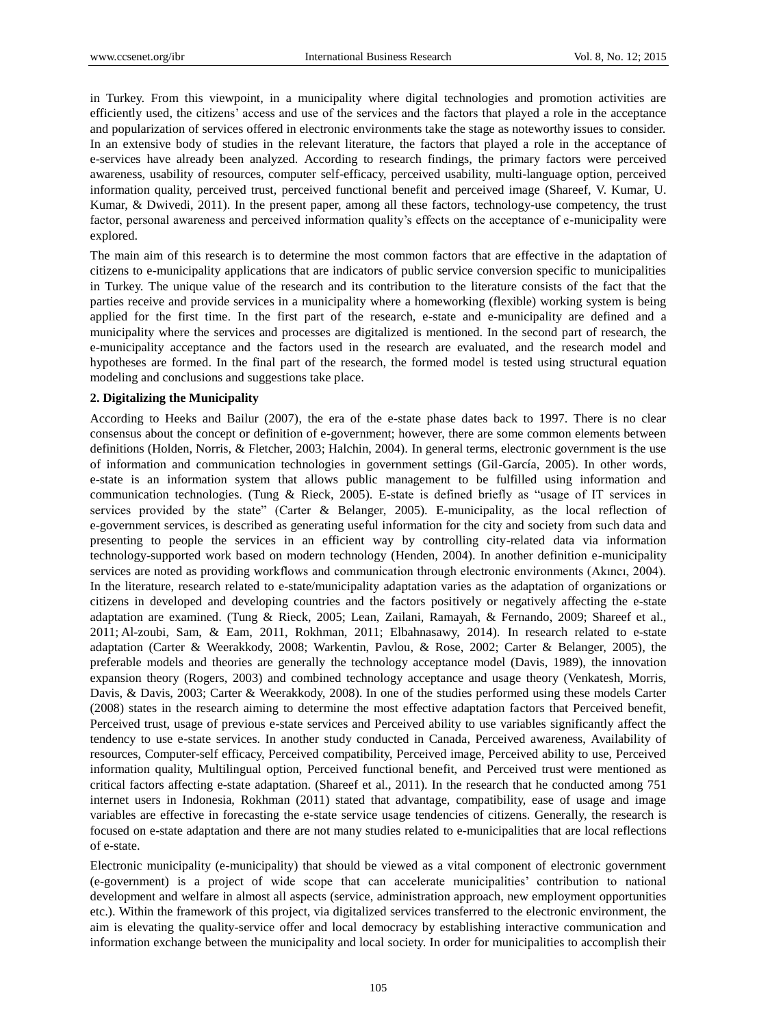in Turkey. From this viewpoint, in a municipality where digital technologies and promotion activities are efficiently used, the citizens" access and use of the services and the factors that played a role in the acceptance and popularization of services offered in electronic environments take the stage as noteworthy issues to consider. In an extensive body of studies in the relevant literature, the factors that played a role in the acceptance of e-services have already been analyzed. According to research findings, the primary factors were perceived awareness, usability of resources, computer self-efficacy, perceived usability, multi-language option, perceived information quality, perceived trust, perceived functional benefit and perceived image (Shareef, V. Kumar, U. Kumar, & Dwivedi, 2011). In the present paper, among all these factors, technology-use competency, the trust factor, personal awareness and perceived information quality"s effects on the acceptance of e-municipality were explored.

The main aim of this research is to determine the most common factors that are effective in the adaptation of citizens to e-municipality applications that are indicators of public service conversion specific to municipalities in Turkey. The unique value of the research and its contribution to the literature consists of the fact that the parties receive and provide services in a municipality where a homeworking (flexible) working system is being applied for the first time. In the first part of the research, e-state and e-municipality are defined and a municipality where the services and processes are digitalized is mentioned. In the second part of research, the e-municipality acceptance and the factors used in the research are evaluated, and the research model and hypotheses are formed. In the final part of the research, the formed model is tested using structural equation modeling and conclusions and suggestions take place.

## **2. Digitalizing the Municipality**

According to Heeks and Bailur (2007), the era of the e-state phase dates back to 1997. There is no clear consensus about the concept or definition of e-government; however, there are some common elements between definitions (Holden, Norris, & Fletcher, 2003; Halchin, 2004). In general terms, electronic government is the use of information and communication technologies in government settings (Gil-García, 2005). In other words, e-state is an information system that allows public management to be fulfilled using information and communication technologies. (Tung & Rieck, 2005). E-state is defined briefly as "usage of IT services in services provided by the state" (Carter & Belanger, 2005). E-municipality, as the local reflection of e-government services, is described as generating useful information for the city and society from such data and presenting to people the services in an efficient way by controlling city-related data via information technology-supported work based on modern technology (Henden, 2004). In another definition e-municipality services are noted as providing workflows and communication through electronic environments (Akıncı, 2004). In the literature, research related to e-state/municipality adaptation varies as the adaptation of organizations or citizens in developed and developing countries and the factors positively or negatively affecting the e-state adaptation are examined. (Tung & Rieck, 2005; Lean, Zailani, Ramayah, & Fernando, 2009; Shareef et al., 2011; Al-zoubi, Sam, & Eam, 2011, Rokhman, 2011; Elbahnasawy, 2014). In research related to e-state adaptation (Carter & Weerakkody, 2008; Warkentin, Pavlou, & Rose, 2002; Carter & Belanger, 2005), the preferable models and theories are generally the technology acceptance model (Davis, 1989), the innovation expansion theory (Rogers, 2003) and combined technology acceptance and usage theory (Venkatesh, Morris, Davis, & Davis, 2003; Carter & Weerakkody, 2008). In one of the studies performed using these models Carter (2008) states in the research aiming to determine the most effective adaptation factors that Perceived benefit, Perceived trust, usage of previous e-state services and Perceived ability to use variables significantly affect the tendency to use e-state services. In another study conducted in Canada, Perceived awareness, Availability of resources, Computer-self efficacy, Perceived compatibility, Perceived image, Perceived ability to use, Perceived information quality, Multilingual option, Perceived functional benefit, and Perceived trust were mentioned as critical factors affecting e-state adaptation. (Shareef et al., 2011). In the research that he conducted among 751 internet users in Indonesia, Rokhman (2011) stated that advantage, compatibility, ease of usage and image variables are effective in forecasting the e-state service usage tendencies of citizens. Generally, the research is focused on e-state adaptation and there are not many studies related to e-municipalities that are local reflections of e-state.

Electronic municipality (e-municipality) that should be viewed as a vital component of electronic government (e-government) is a project of wide scope that can accelerate municipalities" contribution to national development and welfare in almost all aspects (service, administration approach, new employment opportunities etc.). Within the framework of this project, via digitalized services transferred to the electronic environment, the aim is elevating the quality-service offer and local democracy by establishing interactive communication and information exchange between the municipality and local society. In order for municipalities to accomplish their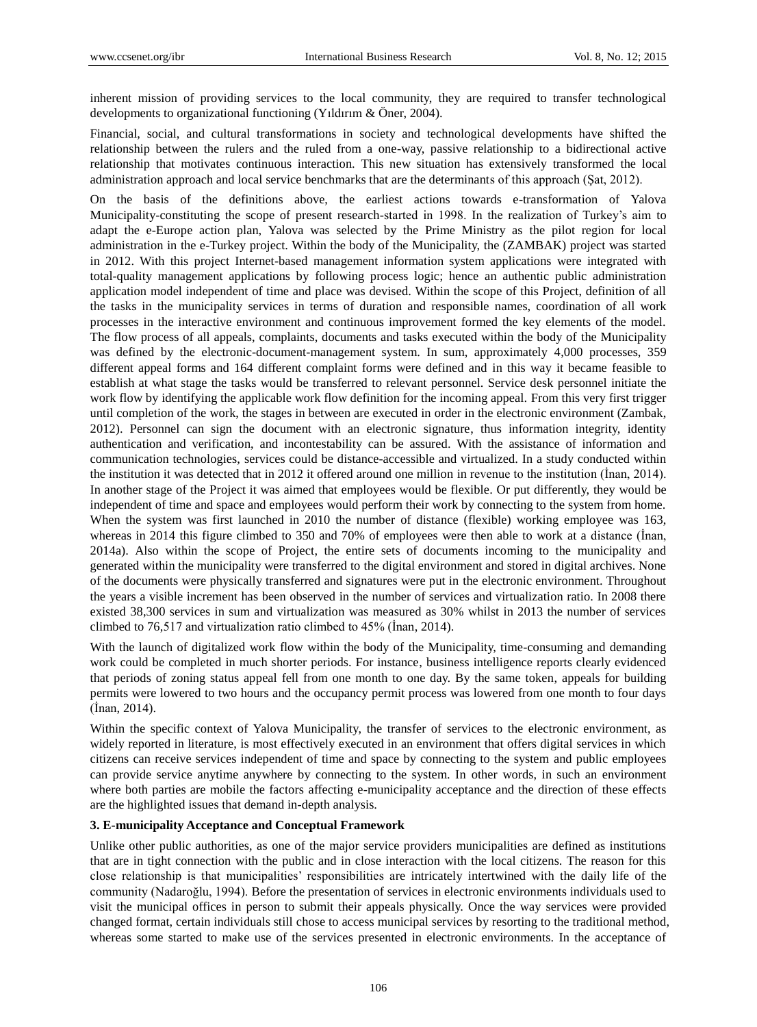inherent mission of providing services to the local community, they are required to transfer technological developments to organizational functioning (Yıldırım & Ö ner, 2004).

Financial, social, and cultural transformations in society and technological developments have shifted the relationship between the rulers and the ruled from a one-way, passive relationship to a bidirectional active relationship that motivates continuous interaction. This new situation has extensively transformed the local administration approach and local service benchmarks that are the determinants of this approach (Şat, 2012).

On the basis of the definitions above, the earliest actions towards e-transformation of Yalova Municipality-constituting the scope of present research-started in 1998. In the realization of Turkey"s aim to adapt the e-Europe action plan, Yalova was selected by the Prime Ministry as the pilot region for local administration in the e-Turkey project. Within the body of the Municipality, the (ZAMBAK) project was started in 2012. With this project Internet-based management information system applications were integrated with total-quality management applications by following process logic; hence an authentic public administration application model independent of time and place was devised. Within the scope of this Project, definition of all the tasks in the municipality services in terms of duration and responsible names, coordination of all work processes in the interactive environment and continuous improvement formed the key elements of the model. The flow process of all appeals, complaints, documents and tasks executed within the body of the Municipality was defined by the electronic-document-management system. In sum, approximately 4,000 processes, 359 different appeal forms and 164 different complaint forms were defined and in this way it became feasible to establish at what stage the tasks would be transferred to relevant personnel. Service desk personnel initiate the work flow by identifying the applicable work flow definition for the incoming appeal. From this very first trigger until completion of the work, the stages in between are executed in order in the electronic environment (Zambak, 2012). Personnel can sign the document with an electronic signature, thus information integrity, identity authentication and verification, and incontestability can be assured. With the assistance of information and communication technologies, services could be distance-accessible and virtualized. In a study conducted within the institution it was detected that in 2012 it offered around one million in revenue to the institution (İnan, 2014). In another stage of the Project it was aimed that employees would be flexible. Or put differently, they would be independent of time and space and employees would perform their work by connecting to the system from home. When the system was first launched in 2010 the number of distance (flexible) working employee was 163, whereas in 2014 this figure climbed to 350 and 70% of employees were then able to work at a distance (İnan, 2014a). Also within the scope of Project, the entire sets of documents incoming to the municipality and generated within the municipality were transferred to the digital environment and stored in digital archives. None of the documents were physically transferred and signatures were put in the electronic environment. Throughout the years a visible increment has been observed in the number of services and virtualization ratio. In 2008 there existed 38,300 services in sum and virtualization was measured as 30% whilst in 2013 the number of services climbed to 76,517 and virtualization ratio climbed to 45% (İnan, 2014).

With the launch of digitalized work flow within the body of the Municipality, time-consuming and demanding work could be completed in much shorter periods. For instance, business intelligence reports clearly evidenced that periods of zoning status appeal fell from one month to one day. By the same token, appeals for building permits were lowered to two hours and the occupancy permit process was lowered from one month to four days (İnan, 2014).

Within the specific context of Yalova Municipality, the transfer of services to the electronic environment, as widely reported in literature, is most effectively executed in an environment that offers digital services in which citizens can receive services independent of time and space by connecting to the system and public employees can provide service anytime anywhere by connecting to the system. In other words, in such an environment where both parties are mobile the factors affecting e-municipality acceptance and the direction of these effects are the highlighted issues that demand in-depth analysis.

# **3. E-municipality Acceptance and Conceptual Framework**

Unlike other public authorities, as one of the major service providers municipalities are defined as institutions that are in tight connection with the public and in close interaction with the local citizens. The reason for this close relationship is that municipalities" responsibilities are intricately intertwined with the daily life of the community (Nadaroğlu, 1994). Before the presentation of services in electronic environments individuals used to visit the municipal offices in person to submit their appeals physically. Once the way services were provided changed format, certain individuals still chose to access municipal services by resorting to the traditional method, whereas some started to make use of the services presented in electronic environments. In the acceptance of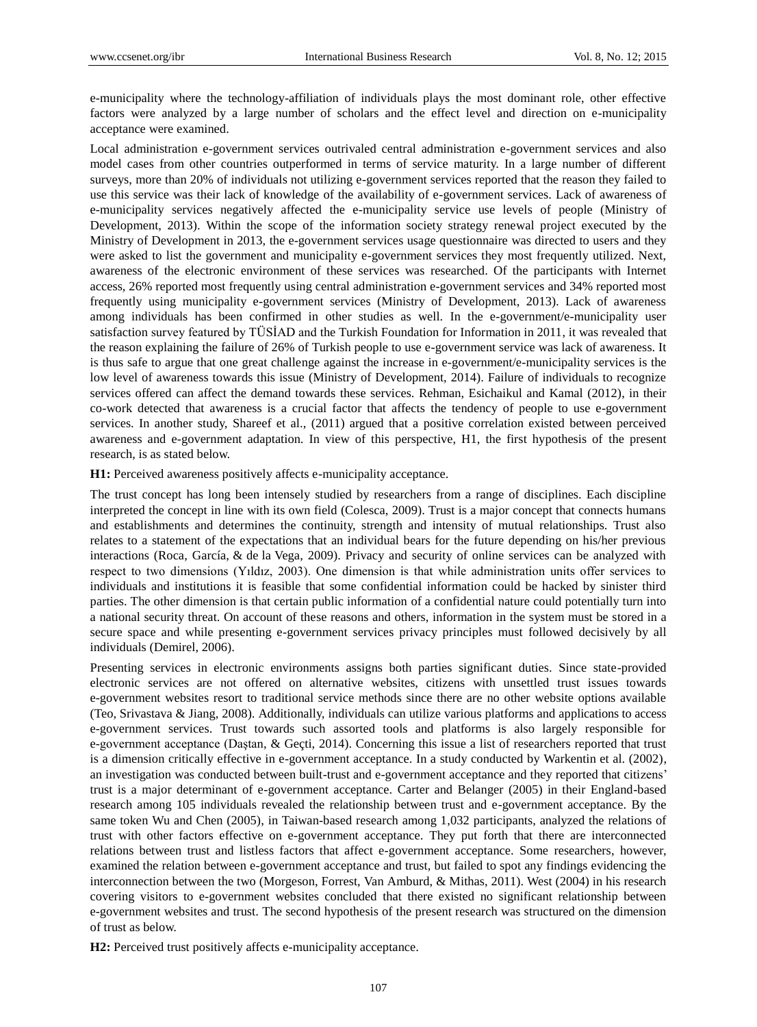e-municipality where the technology-affiliation of individuals plays the most dominant role, other effective factors were analyzed by a large number of scholars and the effect level and direction on e-municipality acceptance were examined.

Local administration e-government services outrivaled central administration e-government services and also model cases from other countries outperformed in terms of service maturity. In a large number of different surveys, more than 20% of individuals not utilizing e-government services reported that the reason they failed to use this service was their lack of knowledge of the availability of e-government services. Lack of awareness of e-municipality services negatively affected the e-municipality service use levels of people (Ministry of Development, 2013). Within the scope of the information society strategy renewal project executed by the Ministry of Development in 2013, the e-government services usage questionnaire was directed to users and they were asked to list the government and municipality e-government services they most frequently utilized. Next, awareness of the electronic environment of these services was researched. Of the participants with Internet access, 26% reported most frequently using central administration e-government services and 34% reported most frequently using municipality e-government services (Ministry of Development, 2013). Lack of awareness among individuals has been confirmed in other studies as well. In the e-government/e-municipality user satisfaction survey featured by TÜSİAD and the Turkish Foundation for Information in 2011, it was revealed that the reason explaining the failure of 26% of Turkish people to use e-government service was lack of awareness. It is thus safe to argue that one great challenge against the increase in e-government/e-municipality services is the low level of awareness towards this issue (Ministry of Development, 2014). Failure of individuals to recognize services offered can affect the demand towards these services. Rehman, Esichaikul and Kamal (2012), in their co-work detected that awareness is a crucial factor that affects the tendency of people to use e-government services. In another study, Shareef et al., (2011) argued that a positive correlation existed between perceived awareness and e-government adaptation. In view of this perspective, H1, the first hypothesis of the present research, is as stated below.

**H1:** Perceived awareness positively affects e-municipality acceptance.

The trust concept has long been intensely studied by researchers from a range of disciplines. Each discipline interpreted the concept in line with its own field (Colesca, 2009). Trust is a major concept that connects humans and establishments and determines the continuity, strength and intensity of mutual relationships. Trust also relates to a statement of the expectations that an individual bears for the future depending on his/her previous interactions (Roca, García, & de la Vega, 2009). Privacy and security of online services can be analyzed with respect to two dimensions (Yıldız, 2003). One dimension is that while administration units offer services to individuals and institutions it is feasible that some confidential information could be hacked by sinister third parties. The other dimension is that certain public information of a confidential nature could potentially turn into a national security threat. On account of these reasons and others, information in the system must be stored in a secure space and while presenting e-government services privacy principles must followed decisively by all individuals (Demirel, 2006).

Presenting services in electronic environments assigns both parties significant duties. Since state-provided electronic services are not offered on alternative websites, citizens with unsettled trust issues towards e-government websites resort to traditional service methods since there are no other website options available (Teo, Srivastava & Jiang, 2008). Additionally, individuals can utilize various platforms and applications to access e-government services. Trust towards such assorted tools and platforms is also largely responsible for e-government acceptance (Daştan, & Geçti, 2014). Concerning this issue a list of researchers reported that trust is a dimension critically effective in e-government acceptance. In a study conducted by Warkentin et al. (2002), an investigation was conducted between built-trust and e-government acceptance and they reported that citizens" trust is a major determinant of e-government acceptance. Carter and Belanger (2005) in their England-based research among 105 individuals revealed the relationship between trust and e-government acceptance. By the same token Wu and Chen (2005), in Taiwan-based research among 1,032 participants, analyzed the relations of trust with other factors effective on e-government acceptance. They put forth that there are interconnected relations between trust and listless factors that affect e-government acceptance. Some researchers, however, examined the relation between e-government acceptance and trust, but failed to spot any findings evidencing the interconnection between the two (Morgeson, Forrest, Van Amburd, & Mithas, 2011). West (2004) in his research covering visitors to e-government websites concluded that there existed no significant relationship between e-government websites and trust. The second hypothesis of the present research was structured on the dimension of trust as below.

**H2:** Perceived trust positively affects e-municipality acceptance.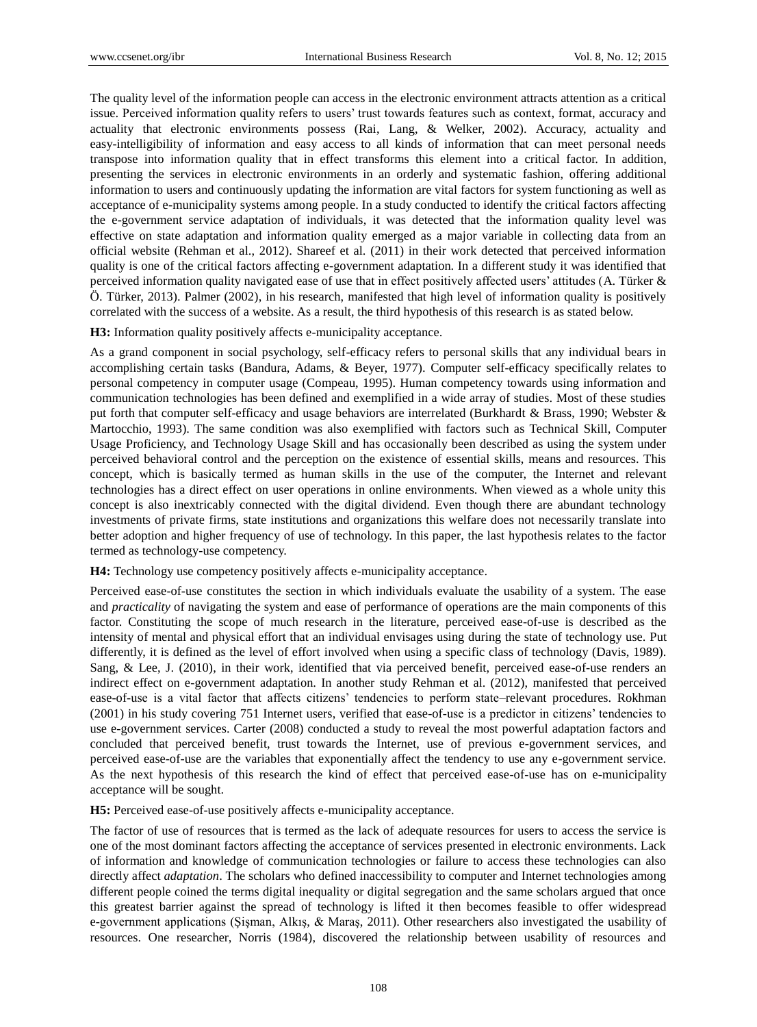The quality level of the information people can access in the electronic environment attracts attention as a critical issue. Perceived information quality refers to users" trust towards features such as context, format, accuracy and actuality that electronic environments possess (Rai, Lang, & Welker, 2002). Accuracy, actuality and easy-intelligibility of information and easy access to all kinds of information that can meet personal needs transpose into information quality that in effect transforms this element into a critical factor. In addition, presenting the services in electronic environments in an orderly and systematic fashion, offering additional information to users and continuously updating the information are vital factors for system functioning as well as acceptance of e-municipality systems among people. In a study conducted to identify the critical factors affecting the e-government service adaptation of individuals, it was detected that the information quality level was effective on state adaptation and information quality emerged as a major variable in collecting data from an official website (Rehman et al., 2012). Shareef et al. (2011) in their work detected that perceived information quality is one of the critical factors affecting e-government adaptation. In a different study it was identified that perceived information quality navigated ease of use that in effect positively affected users" attitudes (A. Türker & Ö . Türker, 2013). Palmer (2002), in his research, manifested that high level of information quality is positively correlated with the success of a website. As a result, the third hypothesis of this research is as stated below.

**H3:** Information quality positively affects e-municipality acceptance.

As a grand component in social psychology, self-efficacy refers to personal skills that any individual bears in accomplishing certain tasks (Bandura, Adams, & Beyer, 1977). Computer self-efficacy specifically relates to personal competency in computer usage (Compeau, 1995). Human competency towards using information and communication technologies has been defined and exemplified in a wide array of studies. Most of these studies put forth that computer self-efficacy and usage behaviors are interrelated (Burkhardt & Brass, 1990; Webster & Martocchio, 1993). The same condition was also exemplified with factors such as Technical Skill, Computer Usage Proficiency, and Technology Usage Skill and has occasionally been described as using the system under perceived behavioral control and the perception on the existence of essential skills, means and resources. This concept, which is basically termed as human skills in the use of the computer, the Internet and relevant technologies has a direct effect on user operations in online environments. When viewed as a whole unity this concept is also inextricably connected with the digital dividend. Even though there are abundant technology investments of private firms, state institutions and organizations this welfare does not necessarily translate into better adoption and higher frequency of use of technology. In this paper, the last hypothesis relates to the factor termed as technology-use competency.

**H4:** Technology use competency positively affects e-municipality acceptance.

Perceived ease-of-use constitutes the section in which individuals evaluate the usability of a system. The ease and *practicality* of navigating the system and ease of performance of operations are the main components of this factor. Constituting the scope of much research in the literature, perceived ease-of-use is described as the intensity of mental and physical effort that an individual envisages using during the state of technology use. Put differently, it is defined as the level of effort involved when using a specific class of technology (Davis, 1989). Sang, & Lee, J. (2010), in their work, identified that via perceived benefit, perceived ease-of-use renders an indirect effect on e-government adaptation. In another study Rehman et al. (2012), manifested that perceived ease-of-use is a vital factor that affects citizens" tendencies to perform state–relevant procedures. Rokhman (2001) in his study covering 751 Internet users, verified that ease-of-use is a predictor in citizens" tendencies to use e-government services. Carter (2008) conducted a study to reveal the most powerful adaptation factors and concluded that perceived benefit, trust towards the Internet, use of previous e-government services, and perceived ease-of-use are the variables that exponentially affect the tendency to use any e-government service. As the next hypothesis of this research the kind of effect that perceived ease-of-use has on e-municipality acceptance will be sought.

**H5:** Perceived ease-of-use positively affects e-municipality acceptance.

The factor of use of resources that is termed as the lack of adequate resources for users to access the service is one of the most dominant factors affecting the acceptance of services presented in electronic environments. Lack of information and knowledge of communication technologies or failure to access these technologies can also directly affect *adaptation*. The scholars who defined inaccessibility to computer and Internet technologies among different people coined the terms digital inequality or digital segregation and the same scholars argued that once this greatest barrier against the spread of technology is lifted it then becomes feasible to offer widespread e-government applications (Şişman, Alkış, & Maraş, 2011). Other researchers also investigated the usability of resources. One researcher, Norris (1984), discovered the relationship between usability of resources and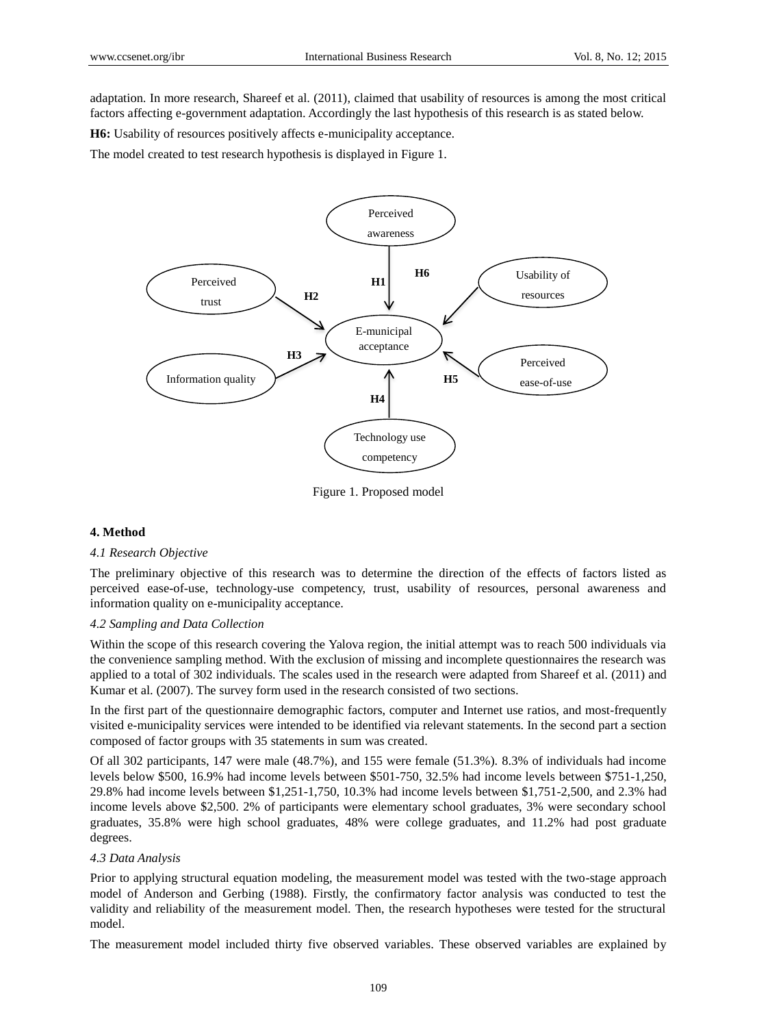adaptation. In more research, Shareef et al. (2011), claimed that usability of resources is among the most critical factors affecting e-government adaptation. Accordingly the last hypothesis of this research is as stated below.

**H6:** Usability of resources positively affects e-municipality acceptance.

The model created to test research hypothesis is displayed in Figure 1.



Figure 1. Proposed model

# **4. Method**

#### *4.1 Research Objective*

The preliminary objective of this research was to determine the direction of the effects of factors listed as perceived ease-of-use, technology-use competency, trust, usability of resources, personal awareness and information quality on e-municipality acceptance.

## *4.2 Sampling and Data Collection*

Within the scope of this research covering the Yalova region, the initial attempt was to reach 500 individuals via the convenience sampling method. With the exclusion of missing and incomplete questionnaires the research was applied to a total of 302 individuals. The scales used in the research were adapted from Shareef et al. (2011) and Kumar et al. (2007). The survey form used in the research consisted of two sections.

In the first part of the questionnaire demographic factors, computer and Internet use ratios, and most-frequently visited e-municipality services were intended to be identified via relevant statements. In the second part a section composed of factor groups with 35 statements in sum was created.

Of all 302 participants, 147 were male (48.7%), and 155 were female (51.3%). 8.3% of individuals had income levels below \$500, 16.9% had income levels between \$501-750, 32.5% had income levels between \$751-1,250, 29.8% had income levels between \$1,251-1,750, 10.3% had income levels between \$1,751-2,500, and 2.3% had income levels above \$2,500. 2% of participants were elementary school graduates, 3% were secondary school graduates, 35.8% were high school graduates, 48% were college graduates, and 11.2% had post graduate degrees.

## *4.3 Data Analysis*

Prior to applying structural equation modeling, the measurement model was tested with the two-stage approach model of Anderson and Gerbing (1988). Firstly, the confirmatory factor analysis was conducted to test the validity and reliability of the measurement model. Then, the research hypotheses were tested for the structural model.

The measurement model included thirty five observed variables. These observed variables are explained by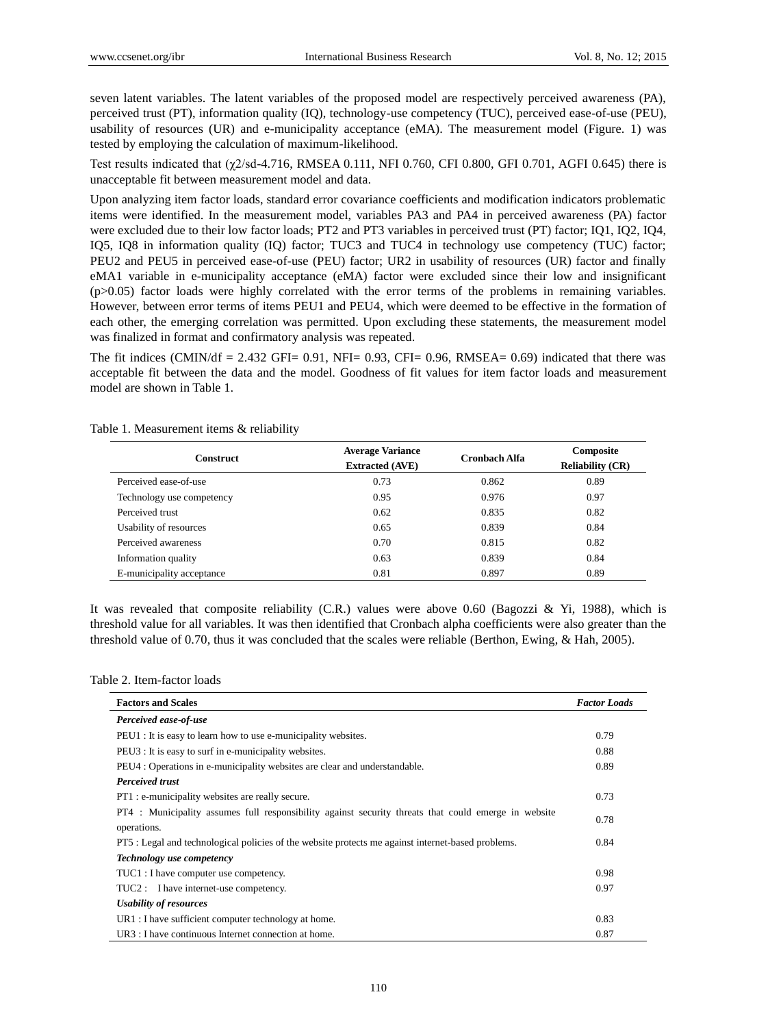seven latent variables. The latent variables of the proposed model are respectively perceived awareness (PA), perceived trust (PT), information quality (IQ), technology-use competency (TUC), perceived ease-of-use (PEU), usability of resources (UR) and e-municipality acceptance (eMA). The measurement model (Figure. 1) was tested by employing the calculation of maximum-likelihood.

Test results indicated that (χ2/sd-4.716, RMSEA 0.111, NFI 0.760, CFI 0.800, GFI 0.701, AGFI 0.645) there is unacceptable fit between measurement model and data.

Upon analyzing item factor loads, standard error covariance coefficients and modification indicators problematic items were identified. In the measurement model, variables PA3 and PA4 in perceived awareness (PA) factor were excluded due to their low factor loads; PT2 and PT3 variables in perceived trust (PT) factor; IQ1, IQ2, IQ4, IQ5, IQ8 in information quality (IQ) factor; TUC3 and TUC4 in technology use competency (TUC) factor; PEU2 and PEU5 in perceived ease-of-use (PEU) factor; UR2 in usability of resources (UR) factor and finally eMA1 variable in e-municipality acceptance (eMA) factor were excluded since their low and insignificant (p>0.05) factor loads were highly correlated with the error terms of the problems in remaining variables. However, between error terms of items PEU1 and PEU4, which were deemed to be effective in the formation of each other, the emerging correlation was permitted. Upon excluding these statements, the measurement model was finalized in format and confirmatory analysis was repeated.

The fit indices (CMIN/df =  $2.432$  GFI=  $0.91$ , NFI=  $0.93$ , CFI=  $0.96$ , RMSEA=  $0.69$ ) indicated that there was acceptable fit between the data and the model. Goodness of fit values for item factor loads and measurement model are shown in Table 1.

| <b>Construct</b>          | <b>Average Variance</b><br><b>Extracted (AVE)</b> | <b>Cronbach Alfa</b> | Composite<br><b>Reliability (CR)</b> |
|---------------------------|---------------------------------------------------|----------------------|--------------------------------------|
| Perceived ease-of-use     | 0.73                                              | 0.862                | 0.89                                 |
| Technology use competency | 0.95                                              | 0.976                | 0.97                                 |
| Perceived trust           | 0.62                                              | 0.835                | 0.82                                 |
| Usability of resources    | 0.65                                              | 0.839                | 0.84                                 |
| Perceived awareness       | 0.70                                              | 0.815                | 0.82                                 |
| Information quality       | 0.63                                              | 0.839                | 0.84                                 |
| E-municipality acceptance | 0.81                                              | 0.897                | 0.89                                 |

Table 1. Measurement items & reliability

It was revealed that composite reliability (C.R.) values were above 0.60 (Bagozzi & Yi, 1988), which is threshold value for all variables. It was then identified that Cronbach alpha coefficients were also greater than the threshold value of 0.70, thus it was concluded that the scales were reliable (Berthon, Ewing, & Hah, 2005).

#### Table 2. Item-factor loads

| <b>Factors and Scales</b>                                                                            | <b>Factor Loads</b> |
|------------------------------------------------------------------------------------------------------|---------------------|
| Perceived ease-of-use                                                                                |                     |
| PEU1 : It is easy to learn how to use e-municipality websites.                                       | 0.79                |
| PEU3 : It is easy to surf in e-municipality websites.                                                | 0.88                |
| PEU4 : Operations in e-municipality websites are clear and understandable.                           | 0.89                |
| <b>Perceived trust</b>                                                                               |                     |
| PT1 : e-municipality websites are really secure.                                                     | 0.73                |
| PT4 : Municipality assumes full responsibility against security threats that could emerge in website |                     |
| operations.                                                                                          |                     |
| PT5 : Legal and technological policies of the website protects me against internet-based problems.   |                     |
| <b>Technology</b> use competency                                                                     |                     |
| TUC1 : I have computer use competency.                                                               | 0.98                |
| TUC2 : I have internet-use competency.                                                               | 0.97                |
| Usability of resources                                                                               |                     |
| $UR1: I$ have sufficient computer technology at home.                                                | 0.83                |
| UR3 : I have continuous Internet connection at home.                                                 | 0.87                |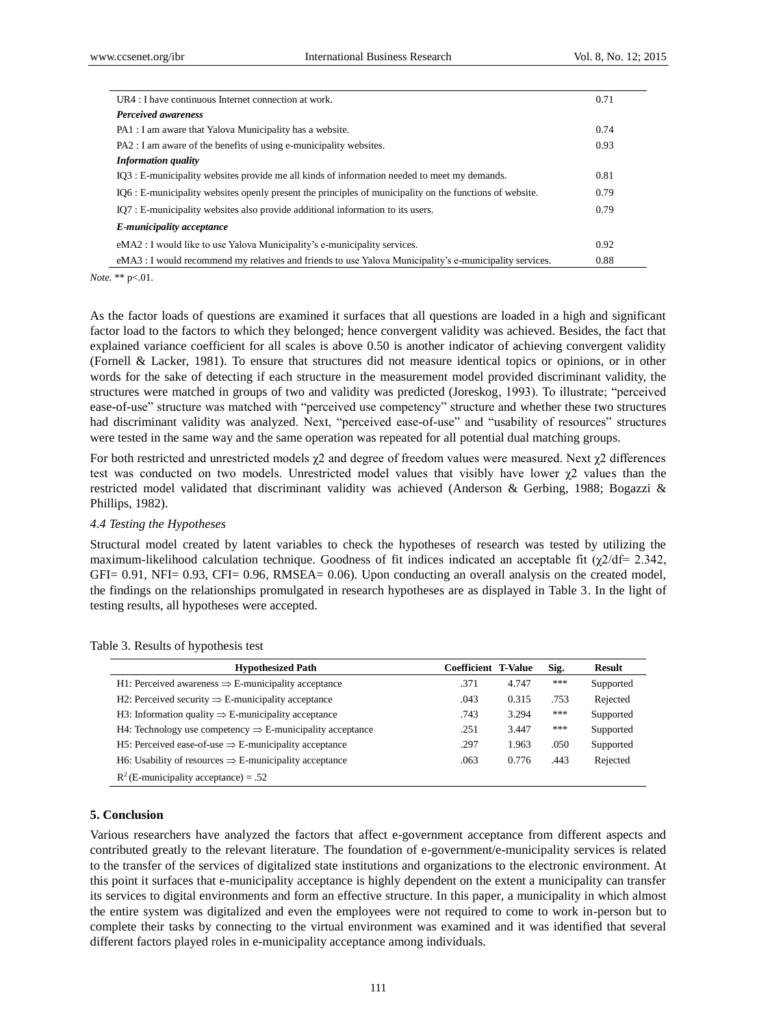| $\text{U}R4$ : I have continuous Internet connection at work.                                            | 0.71 |
|----------------------------------------------------------------------------------------------------------|------|
| <b>Perceived awareness</b>                                                                               |      |
| PA1 : I am aware that Yalova Municipality has a website.                                                 | 0.74 |
| PA2 : I am aware of the benefits of using e-municipality websites.                                       | 0.93 |
| <b>Information quality</b>                                                                               |      |
| IO3 : E-municipality websites provide me all kinds of information needed to meet my demands.             | 0.81 |
| IO6 : E-municipality websites openly present the principles of municipality on the functions of website. | 0.79 |
| IO7 : E-municipality websites also provide additional information to its users.                          | 0.79 |
| E-municipality acceptance                                                                                |      |
| eMA2 : I would like to use Yalova Municipality's e-municipality services.                                | 0.92 |
| eMA3 : I would recommend my relatives and friends to use Yalova Municipality's e-municipality services.  | 0.88 |

*Note.* \*\* p<.01.

As the factor loads of questions are examined it surfaces that all questions are loaded in a high and significant factor load to the factors to which they belonged; hence convergent validity was achieved. Besides, the fact that explained variance coefficient for all scales is above 0.50 is another indicator of achieving convergent validity (Fornell & Lacker, 1981). To ensure that structures did not measure identical topics or opinions, or in other words for the sake of detecting if each structure in the measurement model provided discriminant validity, the structures were matched in groups of two and validity was predicted (Joreskog, 1993). To illustrate; "perceived ease-of-use" structure was matched with "perceived use competency" structure and whether these two structures had discriminant validity was analyzed. Next, "perceived ease-of-use" and "usability of resources" structures were tested in the same way and the same operation was repeated for all potential dual matching groups.

For both restricted and unrestricted models  $\chi$ 2 and degree of freedom values were measured. Next  $\chi$ 2 differences test was conducted on two models. Unrestricted model values that visibly have lower  $\chi$ 2 values than the restricted model validated that discriminant validity was achieved (Anderson & Gerbing, 1988; Bogazzi & Phillips, 1982).

#### *4.4 Testing the Hypotheses*

Structural model created by latent variables to check the hypotheses of research was tested by utilizing the maximum-likelihood calculation technique. Goodness of fit indices indicated an acceptable fit  $(\chi/2/df= 2.342)$ , GFI= 0.91, NFI= 0.93, CFI= 0.96, RMSEA= 0.06). Upon conducting an overall analysis on the created model, the findings on the relationships promulgated in research hypotheses are as displayed in Table 3. In the light of testing results, all hypotheses were accepted.

| <b>Hypothesized Path</b>                                              | <b>Coefficient T-Value</b> |       | Sig. | <b>Result</b> |
|-----------------------------------------------------------------------|----------------------------|-------|------|---------------|
| H1: Perceived awareness $\Rightarrow$ E-municipality acceptance       | .371                       | 4.747 | ***  | Supported     |
| H2: Perceived security $\Rightarrow$ E-municipality acceptance        | .043                       | 0.315 | .753 | Rejected      |
| H3: Information quality $\Rightarrow$ E-municipality acceptance       | .743                       | 3.294 | ***  | Supported     |
| H4: Technology use competency $\Rightarrow$ E-municipality acceptance | .251                       | 3.447 | ***  | Supported     |
| H5: Perceived ease-of-use $\Rightarrow$ E-municipality acceptance     | .297                       | 1.963 | .050 | Supported     |
| H6: Usability of resources $\Rightarrow$ E-municipality acceptance    | .063                       | 0.776 | .443 | Rejected      |
| $R^2$ (E-municipality acceptance) = .52                               |                            |       |      |               |

# Table 3. Results of hypothesis test

## **5. Conclusion**

Various researchers have analyzed the factors that affect e-government acceptance from different aspects and contributed greatly to the relevant literature. The foundation of e-government/e-municipality services is related to the transfer of the services of digitalized state institutions and organizations to the electronic environment. At this point it surfaces that e-municipality acceptance is highly dependent on the extent a municipality can transfer its services to digital environments and form an effective structure. In this paper, a municipality in which almost the entire system was digitalized and even the employees were not required to come to work in-person but to complete their tasks by connecting to the virtual environment was examined and it was identified that several different factors played roles in e-municipality acceptance among individuals.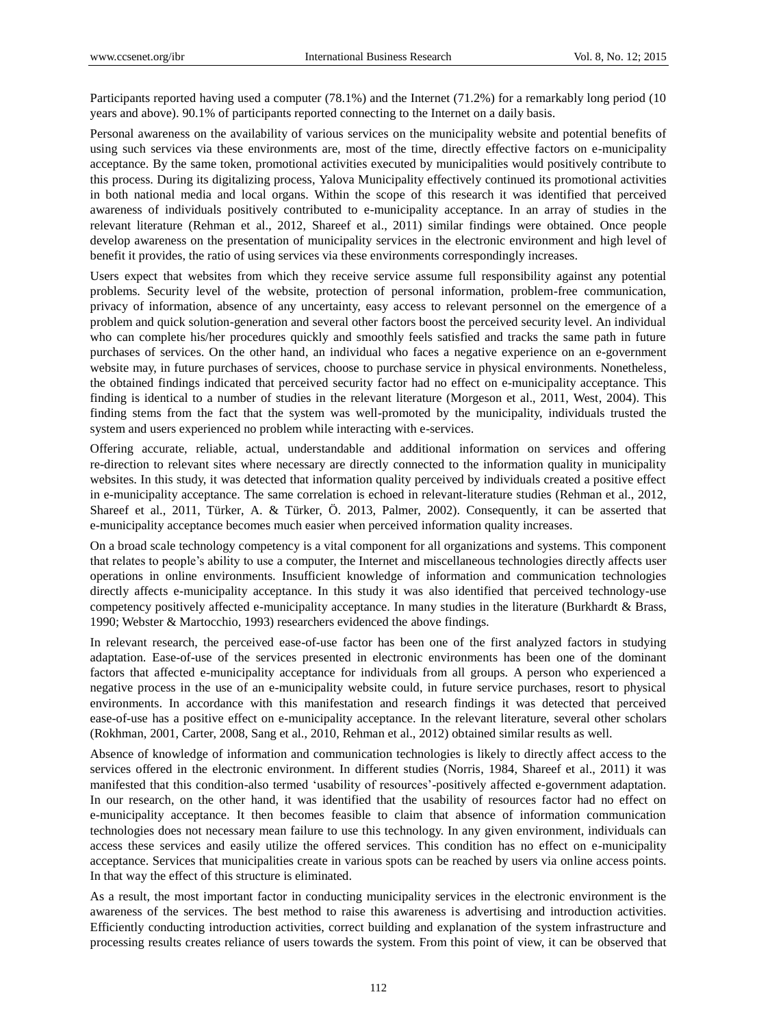Participants reported having used a computer (78.1%) and the Internet (71.2%) for a remarkably long period (10 years and above). 90.1% of participants reported connecting to the Internet on a daily basis.

Personal awareness on the availability of various services on the municipality website and potential benefits of using such services via these environments are, most of the time, directly effective factors on e-municipality acceptance. By the same token, promotional activities executed by municipalities would positively contribute to this process. During its digitalizing process, Yalova Municipality effectively continued its promotional activities in both national media and local organs. Within the scope of this research it was identified that perceived awareness of individuals positively contributed to e-municipality acceptance. In an array of studies in the relevant literature (Rehman et al., 2012, Shareef et al., 2011) similar findings were obtained. Once people develop awareness on the presentation of municipality services in the electronic environment and high level of benefit it provides, the ratio of using services via these environments correspondingly increases.

Users expect that websites from which they receive service assume full responsibility against any potential problems. Security level of the website, protection of personal information, problem-free communication, privacy of information, absence of any uncertainty, easy access to relevant personnel on the emergence of a problem and quick solution-generation and several other factors boost the perceived security level. An individual who can complete his/her procedures quickly and smoothly feels satisfied and tracks the same path in future purchases of services. On the other hand, an individual who faces a negative experience on an e-government website may, in future purchases of services, choose to purchase service in physical environments. Nonetheless, the obtained findings indicated that perceived security factor had no effect on e-municipality acceptance. This finding is identical to a number of studies in the relevant literature (Morgeson et al., 2011, West, 2004). This finding stems from the fact that the system was well-promoted by the municipality, individuals trusted the system and users experienced no problem while interacting with e-services.

Offering accurate, reliable, actual, understandable and additional information on services and offering re-direction to relevant sites where necessary are directly connected to the information quality in municipality websites. In this study, it was detected that information quality perceived by individuals created a positive effect in e-municipality acceptance. The same correlation is echoed in relevant-literature studies (Rehman et al., 2012, Shareef et al., 2011, Türker, A. & Türker, Ö . 2013, Palmer, 2002). Consequently, it can be asserted that e-municipality acceptance becomes much easier when perceived information quality increases.

On a broad scale technology competency is a vital component for all organizations and systems. This component that relates to people"s ability to use a computer, the Internet and miscellaneous technologies directly affects user operations in online environments. Insufficient knowledge of information and communication technologies directly affects e-municipality acceptance. In this study it was also identified that perceived technology-use competency positively affected e-municipality acceptance. In many studies in the literature (Burkhardt & Brass, 1990; Webster & Martocchio, 1993) researchers evidenced the above findings.

In relevant research, the perceived ease-of-use factor has been one of the first analyzed factors in studying adaptation. Ease-of-use of the services presented in electronic environments has been one of the dominant factors that affected e-municipality acceptance for individuals from all groups. A person who experienced a negative process in the use of an e-municipality website could, in future service purchases, resort to physical environments. In accordance with this manifestation and research findings it was detected that perceived ease-of-use has a positive effect on e-municipality acceptance. In the relevant literature, several other scholars (Rokhman, 2001, Carter, 2008, Sang et al., 2010, Rehman et al., 2012) obtained similar results as well.

Absence of knowledge of information and communication technologies is likely to directly affect access to the services offered in the electronic environment. In different studies (Norris, 1984, Shareef et al., 2011) it was manifested that this condition-also termed "usability of resources"-positively affected e-government adaptation. In our research, on the other hand, it was identified that the usability of resources factor had no effect on e-municipality acceptance. It then becomes feasible to claim that absence of information communication technologies does not necessary mean failure to use this technology. In any given environment, individuals can access these services and easily utilize the offered services. This condition has no effect on e-municipality acceptance. Services that municipalities create in various spots can be reached by users via online access points. In that way the effect of this structure is eliminated.

As a result, the most important factor in conducting municipality services in the electronic environment is the awareness of the services. The best method to raise this awareness is advertising and introduction activities. Efficiently conducting introduction activities, correct building and explanation of the system infrastructure and processing results creates reliance of users towards the system. From this point of view, it can be observed that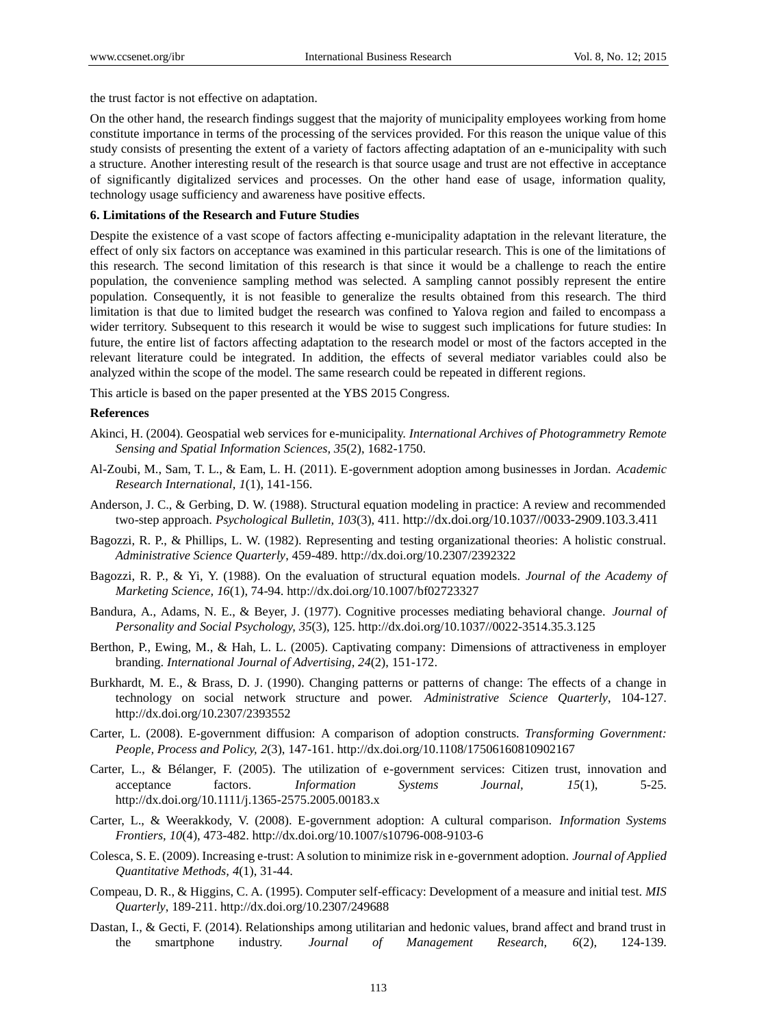the trust factor is not effective on adaptation.

On the other hand, the research findings suggest that the majority of municipality employees working from home constitute importance in terms of the processing of the services provided. For this reason the unique value of this study consists of presenting the extent of a variety of factors affecting adaptation of an e-municipality with such a structure. Another interesting result of the research is that source usage and trust are not effective in acceptance of significantly digitalized services and processes. On the other hand ease of usage, information quality, technology usage sufficiency and awareness have positive effects.

## **6. Limitations of the Research and Future Studies**

Despite the existence of a vast scope of factors affecting e-municipality adaptation in the relevant literature, the effect of only six factors on acceptance was examined in this particular research. This is one of the limitations of this research. The second limitation of this research is that since it would be a challenge to reach the entire population, the convenience sampling method was selected. A sampling cannot possibly represent the entire population. Consequently, it is not feasible to generalize the results obtained from this research. The third limitation is that due to limited budget the research was confined to Yalova region and failed to encompass a wider territory. Subsequent to this research it would be wise to suggest such implications for future studies: In future, the entire list of factors affecting adaptation to the research model or most of the factors accepted in the relevant literature could be integrated. In addition, the effects of several mediator variables could also be analyzed within the scope of the model. The same research could be repeated in different regions.

This article is based on the paper presented at the YBS 2015 Congress.

#### **References**

- Akinci, H. (2004). Geospatial web services for e-municipality. *International Archives of Photogrammetry Remote Sensing and Spatial Information Sciences, 35*(2), 1682-1750.
- Al-Zoubi, M., Sam, T. L., & Eam, L. H. (2011). E-government adoption among businesses in Jordan. *Academic Research International, 1*(1), 141-156.
- Anderson, J. C., & Gerbing, D. W. (1988). Structural equation modeling in practice: A review and recommended two-step approach. *Psychological Bulletin, 103*(3), 411. http://dx.doi.org/10.1037//0033-2909.103.3.411
- Bagozzi, R. P., & Phillips, L. W. (1982). Representing and testing organizational theories: A holistic construal. *Administrative Science Quarterly*, 459-489. http://dx.doi.org/10.2307/2392322
- Bagozzi, R. P., & Yi, Y. (1988). On the evaluation of structural equation models. *Journal of the Academy of Marketing Science, 16*(1), 74-94. http://dx.doi.org/10.1007/bf02723327
- Bandura, A., Adams, N. E., & Beyer, J. (1977). Cognitive processes mediating behavioral change. *Journal of Personality and Social Psychology, 35*(3), 125. http://dx.doi.org/10.1037//0022-3514.35.3.125
- Berthon, P., Ewing, M., & Hah, L. L. (2005). Captivating company: Dimensions of attractiveness in employer branding. *International Journal of Advertising, 24*(2), 151-172.
- Burkhardt, M. E., & Brass, D. J. (1990). Changing patterns or patterns of change: The effects of a change in technology on social network structure and power. *Administrative Science Quarterly*, 104-127. http://dx.doi.org/10.2307/2393552
- Carter, L. (2008). E-government diffusion: A comparison of adoption constructs. *Transforming Government: People, Process and Policy, 2*(3), 147-161. http://dx.doi.org/10.1108/17506160810902167
- Carter, L., & Bélanger, F. (2005). The utilization of e-government services: Citizen trust, innovation and acceptance factors. *Information Systems Journal, 15*(1), 5-25. http://dx.doi.org/10.1111/j.1365-2575.2005.00183.x
- Carter, L., & Weerakkody, V. (2008). E-government adoption: A cultural comparison. *Information Systems Frontiers, 10*(4), 473-482. http://dx.doi.org/10.1007/s10796-008-9103-6
- Colesca, S. E. (2009). Increasing e-trust: A solution to minimize risk in e-government adoption. *Journal of Applied Quantitative Methods, 4*(1), 31-44.
- Compeau, D. R., & Higgins, C. A. (1995). Computer self-efficacy: Development of a measure and initial test. *MIS Quarterly*, 189-211. http://dx.doi.org/10.2307/249688
- Dastan, I., & Gecti, F. (2014). Relationships among utilitarian and hedonic values, brand affect and brand trust in the smartphone industry. *Journal of Management Research, 6*(2), 124-139.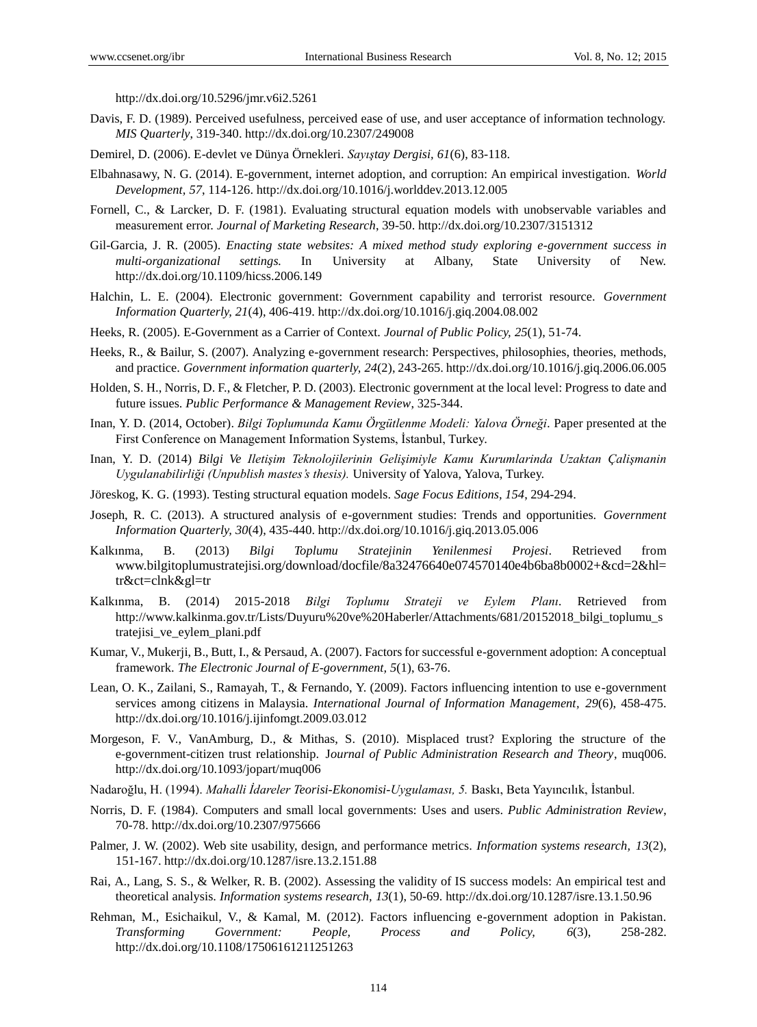http://dx.doi.org/10.5296/jmr.v6i2.5261

- Davis, F. D. (1989). Perceived usefulness, perceived ease of use, and user acceptance of information technology. *MIS Quarterly*, 319-340. http://dx.doi.org/10.2307/249008
- Demirel, D. (2006). E-devlet ve Dünya Ö rnekleri. *Sayıştay Dergisi, 61*(6), 83-118.
- Elbahnasawy, N. G. (2014). E-government, internet adoption, and corruption: An empirical investigation. *World Development, 57*, 114-126. http://dx.doi.org/10.1016/j.worlddev.2013.12.005
- Fornell, C., & Larcker, D. F. (1981). Evaluating structural equation models with unobservable variables and measurement error. *Journal of Marketing Research*, 39-50. http://dx.doi.org/10.2307/3151312
- Gil-Garcia, J. R. (2005). *Enacting state websites: A mixed method study exploring e-government success in multi-organizational settings.* In University at Albany, State University of New. http://dx.doi.org/10.1109/hicss.2006.149
- Halchin, L. E. (2004). Electronic government: Government capability and terrorist resource. *Government Information Quarterly, 21*(4), 406-419. http://dx.doi.org/10.1016/j.giq.2004.08.002
- Heeks, R. (2005). E-Government as a Carrier of Context. *Journal of Public Policy, 25*(1), 51-74.
- Heeks, R., & Bailur, S. (2007). Analyzing e-government research: Perspectives, philosophies, theories, methods, and practice. *Government information quarterly, 24*(2), 243-265. http://dx.doi.org/10.1016/j.giq.2006.06.005
- Holden, S. H., Norris, D. F., & Fletcher, P. D. (2003). Electronic government at the local level: Progress to date and future issues. *Public Performance & Management Review*, 325-344.
- Inan, Y. D. (2014, October). *Bilgi Toplumunda Kamu Örgütlenme Modeli: Yalova Örneği.* Paper presented at the First Conference on Management Information Systems, İstanbul, Turkey.
- Inan, Y. D. (2014) *Bilgi Ve Iletişim Teknolojilerinin Gelişimiyle Kamu Kurumlarinda Uzaktan Çalişmanin Uygulanabilirliği (Unpublish mastes's thesis).* University of Yalova, Yalova, Turkey.
- Jöreskog, K. G. (1993). Testing structural equation models. *Sage Focus Editions, 154*, 294-294.
- Joseph, R. C. (2013). A structured analysis of e-government studies: Trends and opportunities. *Government Information Quarterly, 30*(4), 435-440. http://dx.doi.org/10.1016/j.giq.2013.05.006
- Kalkınma, B. (2013) *Bilgi Toplumu Stratejinin Yenilenmesi Projesi*. Retrieved from [www.bilgitoplumustratejisi.org/download/docfile/8a32476640e074570140e4b6ba8b0002+&cd=2&hl=](http://www.bilgitoplumustratejisi.org/download/docfile/8a32476640e074570140e4b6ba8b0002+&cd=2&hl=tr&ct=clnk&gl=tr) [tr&ct=clnk&gl=tr](http://www.bilgitoplumustratejisi.org/download/docfile/8a32476640e074570140e4b6ba8b0002+&cd=2&hl=tr&ct=clnk&gl=tr)
- Kalkınma, B. (2014) 2015-2018 *Bilgi Toplumu Strateji ve Eylem Planı.* Retrieved from http://www.kalkinma.gov.tr/Lists/Duyuru%20ve%20Haberler/Attachments/681/20152018\_bilgi\_toplumu\_s tratejisi\_ve\_eylem\_plani.pdf
- Kumar, V., Mukerji, B., Butt, I., & Persaud, A. (2007). Factors for successful e-government adoption: Aconceptual framework. *The Electronic Journal of E-government, 5*(1), 63-76.
- Lean, O. K., Zailani, S., Ramayah, T., & Fernando, Y. (2009). Factors influencing intention to use e-government services among citizens in Malaysia. *International Journal of Information Management, 29*(6), 458-475. http://dx.doi.org/10.1016/j.ijinfomgt.2009.03.012
- Morgeson, F. V., VanAmburg, D., & Mithas, S. (2010). Misplaced trust? Exploring the structure of the e-government-citizen trust relationship. J*ournal of Public Administration Research and Theory*, muq006. http://dx.doi.org/10.1093/jopart/muq006
- Nadaroğlu, H. (1994). *Mahalli İdareler Teorisi-Ekonomisi-Uygulaması, 5.* Baskı, Beta Yayıncılık, İstanbul.
- Norris, D. F. (1984). Computers and small local governments: Uses and users. *Public Administration Review*, 70-78. http://dx.doi.org/10.2307/975666
- Palmer, J. W. (2002). Web site usability, design, and performance metrics. *Information systems research, 13*(2), 151-167. http://dx.doi.org/10.1287/isre.13.2.151.88
- Rai, A., Lang, S. S., & Welker, R. B. (2002). Assessing the validity of IS success models: An empirical test and theoretical analysis. *Information systems research, 13*(1), 50-69. http://dx.doi.org/10.1287/isre.13.1.50.96
- Rehman, M., Esichaikul, V., & Kamal, M. (2012). Factors influencing e-government adoption in Pakistan. *Transforming Government: People, Process and Policy, 6*(3), 258-282. http://dx.doi.org/10.1108/17506161211251263